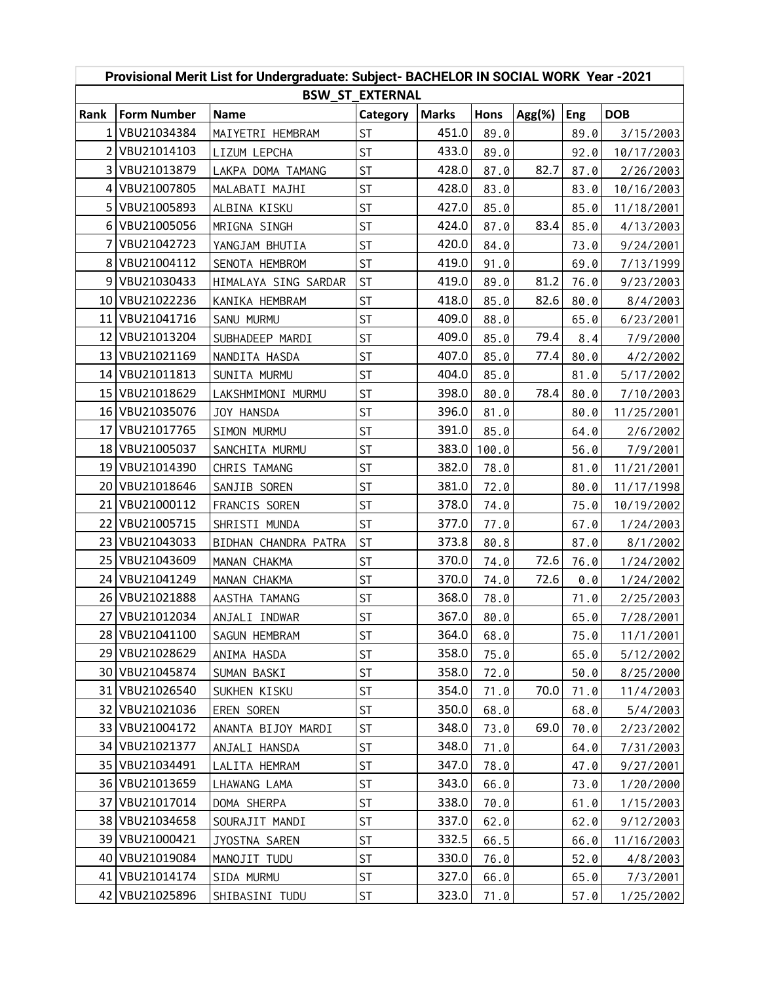| Provisional Merit List for Undergraduate: Subject- BACHELOR IN SOCIAL WORK Year -2021 |                    |                      |           |              |       |           |      |            |  |  |  |  |
|---------------------------------------------------------------------------------------|--------------------|----------------------|-----------|--------------|-------|-----------|------|------------|--|--|--|--|
| <b>BSW ST EXTERNAL</b>                                                                |                    |                      |           |              |       |           |      |            |  |  |  |  |
| Rank                                                                                  | <b>Form Number</b> | <b>Name</b>          | Category  | <b>Marks</b> | Hons  | $Agg(\%)$ | Eng  | <b>DOB</b> |  |  |  |  |
| $1\vert$                                                                              | VBU21034384        | MAIYETRI HEMBRAM     | <b>ST</b> | 451.0        | 89.0  |           | 89.0 | 3/15/2003  |  |  |  |  |
|                                                                                       | 2 VBU21014103      | LIZUM LEPCHA         | <b>ST</b> | 433.0        | 89.0  |           | 92.0 | 10/17/2003 |  |  |  |  |
| $\overline{3}$                                                                        | VBU21013879        | LAKPA DOMA TAMANG    | <b>ST</b> | 428.0        | 87.0  | 82.7      | 87.0 | 2/26/2003  |  |  |  |  |
|                                                                                       | 4 VBU21007805      | MALABATI MAJHI       | <b>ST</b> | 428.0        | 83.0  |           | 83.0 | 10/16/2003 |  |  |  |  |
| 5 <sub>1</sub>                                                                        | VBU21005893        | ALBINA KISKU         | <b>ST</b> | 427.0        | 85.0  |           | 85.0 | 11/18/2001 |  |  |  |  |
| 6 <sup>1</sup>                                                                        | VBU21005056        | MRIGNA SINGH         | <b>ST</b> | 424.0        | 87.0  | 83.4      | 85.0 | 4/13/2003  |  |  |  |  |
| 71                                                                                    | VBU21042723        | YANGJAM BHUTIA       | <b>ST</b> | 420.0        | 84.0  |           | 73.0 | 9/24/2001  |  |  |  |  |
| 8 <sup>1</sup>                                                                        | VBU21004112        | SENOTA HEMBROM       | <b>ST</b> | 419.0        | 91.0  |           | 69.0 | 7/13/1999  |  |  |  |  |
| 9                                                                                     | VBU21030433        | HIMALAYA SING SARDAR | <b>ST</b> | 419.0        | 89.0  | 81.2      | 76.0 | 9/23/2003  |  |  |  |  |
|                                                                                       | 10 VBU21022236     | KANIKA HEMBRAM       | <b>ST</b> | 418.0        | 85.0  | 82.6      | 80.0 | 8/4/2003   |  |  |  |  |
|                                                                                       | 11 VBU21041716     | SANU MURMU           | <b>ST</b> | 409.0        | 88.0  |           | 65.0 | 6/23/2001  |  |  |  |  |
| 12 <sub>1</sub>                                                                       | VBU21013204        | SUBHADEEP MARDI      | <b>ST</b> | 409.0        | 85.0  | 79.4      | 8.4  | 7/9/2000   |  |  |  |  |
| 13 <sup>1</sup>                                                                       | VBU21021169        | NANDITA HASDA        | <b>ST</b> | 407.0        | 85.0  | 77.4      | 80.0 | 4/2/2002   |  |  |  |  |
|                                                                                       | 14 VBU21011813     | SUNITA MURMU         | <b>ST</b> | 404.0        | 85.0  |           | 81.0 | 5/17/2002  |  |  |  |  |
|                                                                                       | 15 VBU21018629     | LAKSHMIMONI MURMU    | <b>ST</b> | 398.0        | 80.0  | 78.4      | 80.0 | 7/10/2003  |  |  |  |  |
|                                                                                       | 16 VBU21035076     | JOY HANSDA           | <b>ST</b> | 396.0        | 81.0  |           | 80.0 | 11/25/2001 |  |  |  |  |
| 17 <sup>1</sup>                                                                       | VBU21017765        | SIMON MURMU          | <b>ST</b> | 391.0        | 85.0  |           | 64.0 | 2/6/2002   |  |  |  |  |
|                                                                                       | 18 VBU21005037     | SANCHITA MURMU       | <b>ST</b> | 383.0        | 100.0 |           | 56.0 | 7/9/2001   |  |  |  |  |
|                                                                                       | 19 VBU21014390     | CHRIS TAMANG         | <b>ST</b> | 382.0        | 78.0  |           | 81.0 | 11/21/2001 |  |  |  |  |
| 20 <sub>1</sub>                                                                       | VBU21018646        | SANJIB SOREN         | <b>ST</b> | 381.0        | 72.0  |           | 80.0 | 11/17/1998 |  |  |  |  |
| 21                                                                                    | VBU21000112        | FRANCIS SOREN        | <b>ST</b> | 378.0        | 74.0  |           | 75.0 | 10/19/2002 |  |  |  |  |
| 22                                                                                    | VBU21005715        | SHRISTI MUNDA        | <b>ST</b> | 377.0        | 77.0  |           | 67.0 | 1/24/2003  |  |  |  |  |
|                                                                                       | 23 VBU21043033     | BIDHAN CHANDRA PATRA | <b>ST</b> | 373.8        | 80.8  |           | 87.0 | 8/1/2002   |  |  |  |  |
|                                                                                       | 25 VBU21043609     | MANAN CHAKMA         | <b>ST</b> | 370.0        | 74.0  | 72.6      | 76.0 | 1/24/2002  |  |  |  |  |
| 24 <sub>l</sub>                                                                       | VBU21041249        | MANAN CHAKMA         | <b>ST</b> | 370.0        | 74.0  | 72.6      | 0.0  | 1/24/2002  |  |  |  |  |
|                                                                                       | 26 VBU21021888     | AASTHA TAMANG        | <b>ST</b> | 368.0        | 78.0  |           | 71.0 | 2/25/2003  |  |  |  |  |
|                                                                                       | 27 VBU21012034     | ANJALI INDWAR        | <b>ST</b> | 367.0        | 80.0  |           | 65.0 | 7/28/2001  |  |  |  |  |
|                                                                                       | 28 VBU21041100     | SAGUN HEMBRAM        | <b>ST</b> | 364.0        | 68.0  |           | 75.0 | 11/1/2001  |  |  |  |  |
| 29                                                                                    | VBU21028629        | ANIMA HASDA          | <b>ST</b> | 358.0        | 75.0  |           | 65.0 | 5/12/2002  |  |  |  |  |
| 30 <sub>l</sub>                                                                       | VBU21045874        | SUMAN BASKI          | <b>ST</b> | 358.0        | 72.0  |           | 50.0 | 8/25/2000  |  |  |  |  |
| 31                                                                                    | VBU21026540        | SUKHEN KISKU         | <b>ST</b> | 354.0        | 71.0  | 70.0      | 71.0 | 11/4/2003  |  |  |  |  |
| 32                                                                                    | VBU21021036        | EREN SOREN           | ST        | 350.0        | 68.0  |           | 68.0 | 5/4/2003   |  |  |  |  |
| 33                                                                                    | VBU21004172        | ANANTA BIJOY MARDI   | ST        | 348.0        | 73.0  | 69.0      | 70.0 | 2/23/2002  |  |  |  |  |
| 34                                                                                    | VBU21021377        | ANJALI HANSDA        | <b>ST</b> | 348.0        | 71.0  |           | 64.0 | 7/31/2003  |  |  |  |  |
| 35 <sub>1</sub>                                                                       | VBU21034491        | LALITA HEMRAM        | <b>ST</b> | 347.0        | 78.0  |           | 47.0 | 9/27/2001  |  |  |  |  |
| 36                                                                                    | VBU21013659        | LHAWANG LAMA         | <b>ST</b> | 343.0        | 66.0  |           | 73.0 | 1/20/2000  |  |  |  |  |
| 37                                                                                    | VBU21017014        | DOMA SHERPA          | <b>ST</b> | 338.0        | 70.0  |           | 61.0 | 1/15/2003  |  |  |  |  |
| 38                                                                                    | VBU21034658        | SOURAJIT MANDI       | <b>ST</b> | 337.0        | 62.0  |           | 62.0 | 9/12/2003  |  |  |  |  |
| 39                                                                                    | VBU21000421        | JYOSTNA SAREN        | <b>ST</b> | 332.5        | 66.5  |           | 66.0 | 11/16/2003 |  |  |  |  |
| 40                                                                                    | VBU21019084        | MANOJIT TUDU         | <b>ST</b> | 330.0        | 76.0  |           | 52.0 | 4/8/2003   |  |  |  |  |
| 41                                                                                    | VBU21014174        | SIDA MURMU           | <b>ST</b> | 327.0        | 66.0  |           | 65.0 | 7/3/2001   |  |  |  |  |
| 42                                                                                    | VBU21025896        | SHIBASINI TUDU       | ST        | 323.0        | 71.0  |           | 57.0 | 1/25/2002  |  |  |  |  |